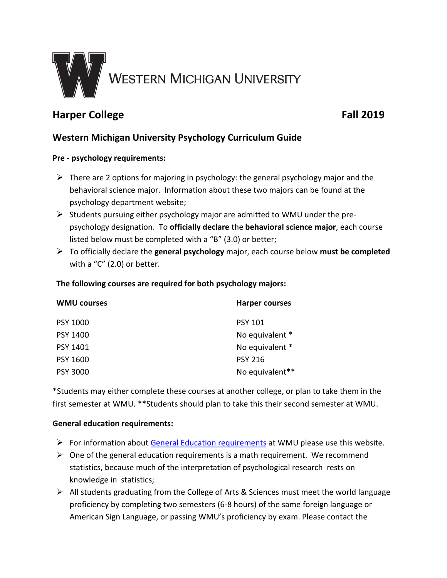

# **Harper College Fall 2019**

## **Western Michigan University Psychology Curriculum Guide**

#### **Pre - psychology requirements:**

- $\triangleright$  There are 2 options for majoring in psychology: the general psychology major and the behavioral science major. Information about these two majors can be found at the psychology department website;
- $\triangleright$  Students pursuing either psychology major are admitted to WMU under the prepsychology designation. To **officially declare** the **behavioral science major**, each course listed below must be completed with a "B" (3.0) or better;
- To officially declare the **general psychology** major, each course below **must be completed** with a "C" (2.0) or better.

#### **The following courses are required for both psychology majors:**

| <b>WMU courses</b> | <b>Harper courses</b> |
|--------------------|-----------------------|
| <b>PSY 1000</b>    | <b>PSY 101</b>        |
| PSY 1400           | No equivalent *       |
| PSY 1401           | No equivalent *       |
| <b>PSY 1600</b>    | <b>PSY 216</b>        |
| <b>PSY 3000</b>    | No equivalent**       |

\*Students may either complete these courses at another college, or plan to take them in the first semester at WMU. \*\*Students should plan to take this their second semester at WMU.

#### **General education requirements:**

- $\triangleright$  For information about [General Education requirements](http://www.wmich.edu/admissions/transfer/guides/harper/gened) at WMU please use this website.
- $\triangleright$  One of the general education requirements is a math requirement. We recommend statistics, because much of the interpretation of psychological research rests on knowledge in statistics;
- $\triangleright$  All students graduating from the College of Arts & Sciences must meet the world language proficiency by completing two semesters (6-8 hours) of the same foreign language or American Sign Language, or passing WMU's proficiency by exam. Please contact the